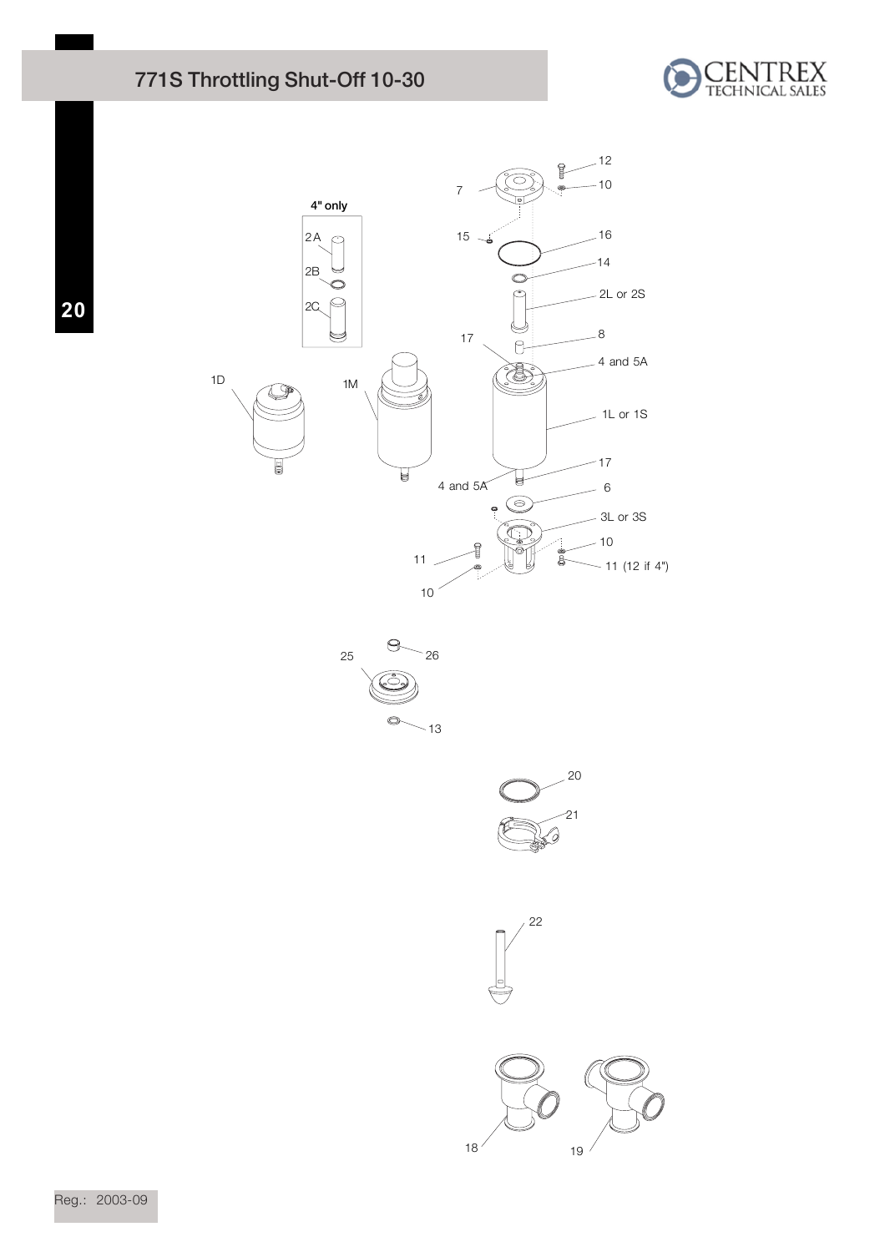## 771S Throttling Shut-Off 10-30



**20**